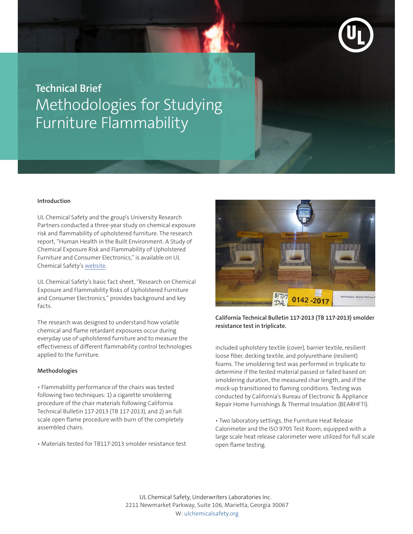

## **Technical Brief** Methodologies for Studying Furniture Flammability

## **Introduction**

UL Chemical Safety and the group's University Research Partners conducted a three-year study on chemical exposure risk and flammability of upholstered furniture. The research report, "Human Health in the Built Environment: A Study of Chemical Exposure Risk and Flammability of Upholstered Furniture and Consumer Electronics," is available on UL Chemical Safety's [website.](www.ulchemicalsafety.org)

UL Chemical Safety's basic fact sheet, "Research on Chemical Exposure and Flammability Risks of Upholstered Furniture and Consumer Electronics," provides background and key facts.

The research was designed to understand how volatile chemical and flame retardant exposures occur during everyday use of upholstered furniture and to measure the effectiveness of different flammability control technologies applied to the furniture.

## **Methodologies**

• Flammability performance of the chairs was tested following two techniques: 1) a cigarette smoldering procedure of the chair materials following California Technical Bulletin 117-2013 (TB 117-2013), and 2) an full scale open flame procedure with burn of the completely assembled chairs.

• Materials tested for TB117-2013 smolder resistance test



**California Technical Bulletin 117-2013 (TB 117-2013) smolder resistance test in triplicate.**

included upholstery textile (cover), barrier textile, resilient loose fiber, decking textile, and polyurethane (resilient) foams. The smoldering test was performed in triplicate to determine if the tested material passed or failed based on smoldering duration, the measured char length, and if the mock-up transitioned to flaming conditions. Testing was conducted by California's Bureau of Electronic & Appliance Repair Home Furnishings & Thermal Insulation (BEARHFTI).

• Two laboratory settings, the Furniture Heat Release Calorimeter and the ISO 9705 Test Room, equipped with a large scale heat release calorimeter were utilized for full scale open flame testing.